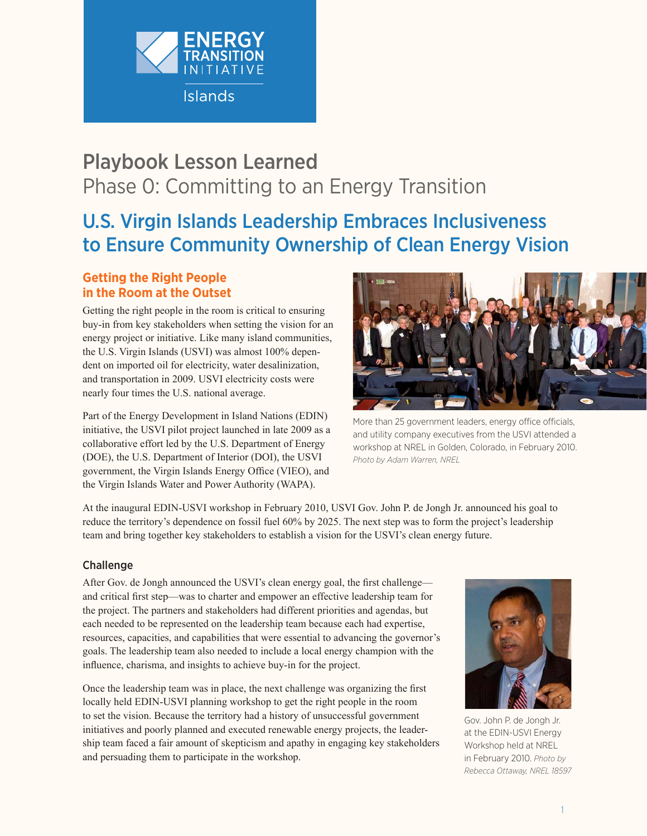

# Playbook Lesson Learned Phase 0: Committing to an Energy Transition

# U.S. Virgin Islands Leadership Embraces Inclusiveness to Ensure Community Ownership of Clean Energy Vision

# **Getting the Right People in the Room at the Outset**

Getting the right people in the room is critical to ensuring buy-in from key stakeholders when setting the vision for an energy project or initiative. Like many island communities, the U.S. Virgin Islands (USVI) was almost 100% dependent on imported oil for electricity, water desalinization, and transportation in 2009. USVI electricity costs were nearly four times the U.S. national average.

Part of the Energy Development in Island Nations (EDIN) initiative, the USVI pilot project launched in late 2009 as a collaborative effort led by the U.S. Department of Energy (DOE), the U.S. Department of Interior (DOI), the USVI government, the Virgin Islands Energy Office (VIEO), and the Virgin Islands Water and Power Authority (WAPA).



More than 25 government leaders, energy office officials, and utility company executives from the USVI attended a workshop at NREL in Golden, Colorado, in February 2010. *Photo by Adam Warren, NREL*

At the inaugural EDIN-USVI workshop in February 2010, USVI Gov. John P. de Jongh Jr. announced his goal to reduce the territory's dependence on fossil fuel 60% by 2025. The next step was to form the project's leadership team and bring together key stakeholders to establish a vision for the USVI's clean energy future.

# Challenge

After Gov. de Jongh announced the USVI's clean energy goal, the first challenge and critical first step—was to charter and empower an effective leadership team for the project. The partners and stakeholders had different priorities and agendas, but each needed to be represented on the leadership team because each had expertise, resources, capacities, and capabilities that were essential to advancing the governor's goals. The leadership team also needed to include a local energy champion with the influence, charisma, and insights to achieve buy-in for the project.

Once the leadership team was in place, the next challenge was organizing the first locally held EDIN-USVI planning workshop to get the right people in the room to set the vision. Because the territory had a history of unsuccessful government initiatives and poorly planned and executed renewable energy projects, the leadership team faced a fair amount of skepticism and apathy in engaging key stakeholders and persuading them to participate in the workshop.



Gov. John P. de Jongh Jr. at the EDIN-USVI Energy Workshop held at NREL in February 2010. *Photo by Rebecca Ottaway, NREL 18597*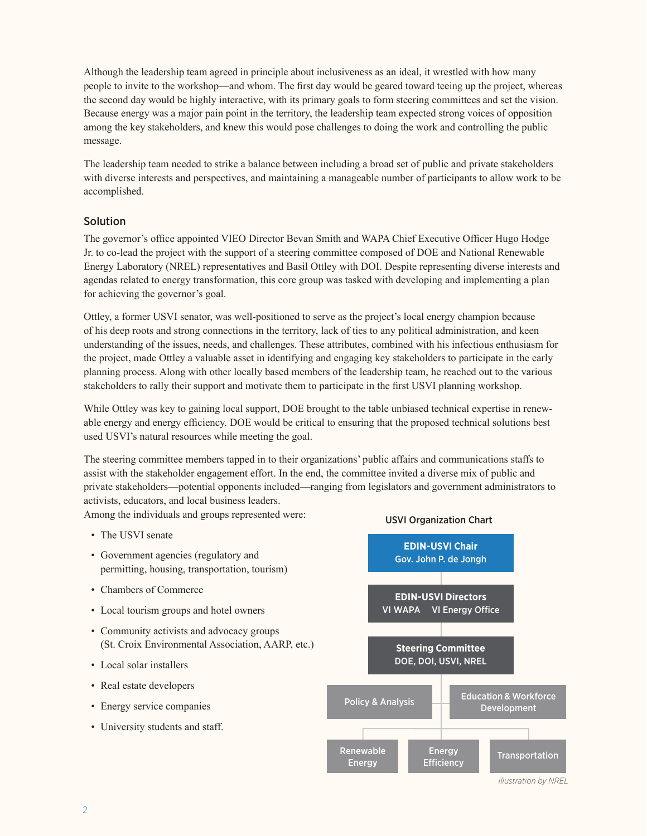Although the leadership team agreed in principle about inclusiveness as an ideal, it wrestled with how many people to invite to the workshop—and whom. The first day would be geared toward teeing up the project, whereas the second day would be highly interactive, with its primary goals to form steering committees and set the vision. Because energy was a major pain point in the territory, the leadership team expected strong voices of opposition among the key stakeholders, and knew this would pose challenges to doing the work and controlling the public message.

The leadership team needed to strike a balance between including a broad set of public and private stakeholders with diverse interests and perspectives, and maintaining a manageable number of participants to allow work to be accomplished.

## Solution

The governor's office appointed VIEO Director Bevan Smith and WAPA Chief Executive Officer Hugo Hodge Jr. to co-lead the project with the support of a steering committee composed of DOE and National Renewable Energy Laboratory (NREL) representatives and Basil Ottley with DOI. Despite representing diverse interests and agendas related to energy transformation, this core group was tasked with developing and implementing a plan for achieving the governor's goal.

Ottley, a former USVI senator, was well-positioned to serve as the project's local energy champion because of his deep roots and strong connections in the territory, lack of ties to any political administration, and keen understanding of the issues, needs, and challenges. These attributes, combined with his infectious enthusiasm for the project, made Ottley a valuable asset in identifying and engaging key stakeholders to participate in the early planning process. Along with other locally based members of the leadership team, he reached out to the various stakeholders to rally their support and motivate them to participate in the first USVI planning workshop.

While Ottley was key to gaining local support, DOE brought to the table unbiased technical expertise in renewable energy and energy efficiency. DOE would be critical to ensuring that the proposed technical solutions best used USVI's natural resources while meeting the goal.

The steering committee members tapped in to their organizations' public affairs and communications staffs to assist with the stakeholder engagement effort. In the end, the committee invited a diverse mix of public and private stakeholders—potential opponents included—ranging from legislators and government administrators to activists, educators, and local business leaders.

Among the individuals and groups represented were:

- The USVI senate
- Government agencies (regulatory and permitting, housing, transportation, tourism)
- Chambers of Commerce
- Local tourism groups and hotel owners
- Community activists and advocacy groups (St. Croix Environmental Association, AARP, etc.)
- Local solar installers
- Real estate developers
- Energy service companies
- University students and staff.



*Illustration by NREL*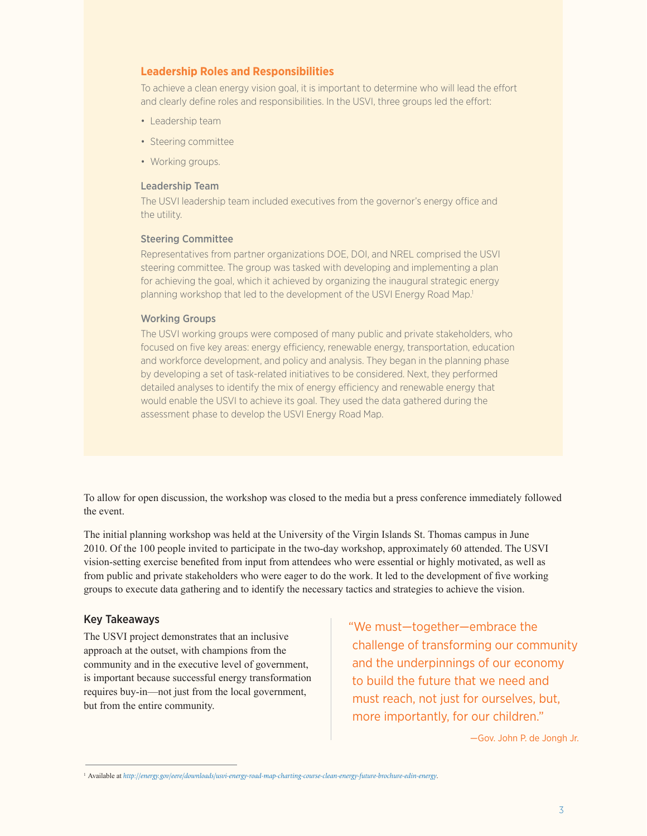## **Leadership Roles and Responsibilities**

To achieve a clean energy vision goal, it is important to determine who will lead the effort and clearly define roles and responsibilities. In the USVI, three groups led the effort:

- Leadership team
- Steering committee
- Working groups.

#### Leadership Team

The USVI leadership team included executives from the governor's energy office and the utility.

#### Steering Committee

Representatives from partner organizations DOE, DOI, and NREL comprised the USVI steering committee. The group was tasked with developing and implementing a plan for achieving the goal, which it achieved by organizing the inaugural strategic energy planning workshop that led to the development of the USVI Energy Road Map.<sup>1</sup>

#### Working Groups

The USVI working groups were composed of many public and private stakeholders, who focused on five key areas: energy efficiency, renewable energy, transportation, education and workforce development, and policy and analysis. They began in the planning phase by developing a set of task-related initiatives to be considered. Next, they performed detailed analyses to identify the mix of energy efficiency and renewable energy that would enable the USVI to achieve its goal. They used the data gathered during the assessment phase to develop the USVI Energy Road Map.

To allow for open discussion, the workshop was closed to the media but a press conference immediately followed the event.

The initial planning workshop was held at the University of the Virgin Islands St. Thomas campus in June 2010. Of the 100 people invited to participate in the two-day workshop, approximately 60 attended. The USVI vision-setting exercise benefited from input from attendees who were essential or highly motivated, as well as from public and private stakeholders who were eager to do the work. It led to the development of five working groups to execute data gathering and to identify the necessary tactics and strategies to achieve the vision.

### Key Takeaways

The USVI project demonstrates that an inclusive approach at the outset, with champions from the community and in the executive level of government, is important because successful energy transformation requires buy-in—not just from the local government, but from the entire community.

"We must—together—embrace the challenge of transforming our community and the underpinnings of our economy to build the future that we need and must reach, not just for ourselves, but. more importantly, for our children."

—Gov. John P. de Jongh Jr.

<sup>1</sup> Available at *http://energy.gov/eere/downloads/usvi-energy-road-map-charting-course-clean-energy-future-brochure-edin-energy*.